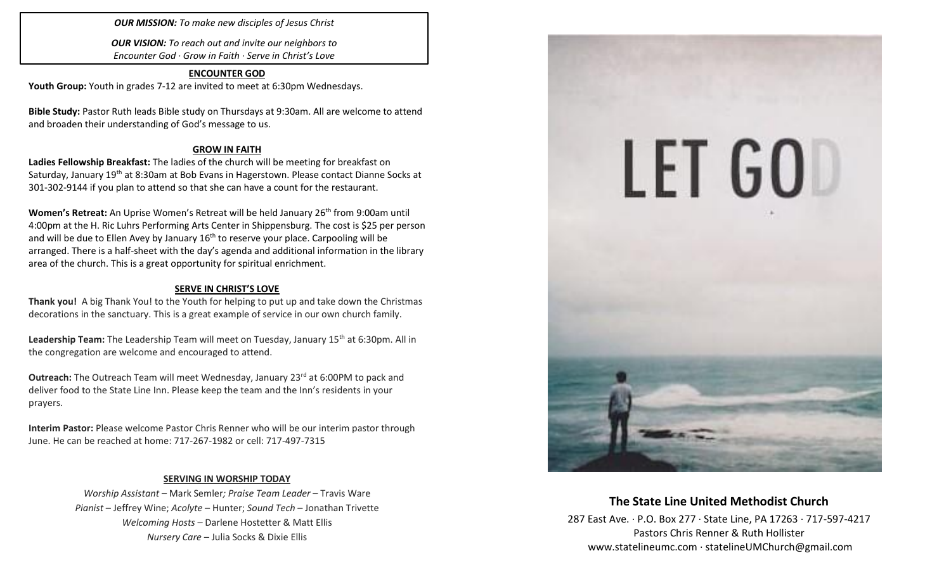## *OUR MISSION: To make new disciples of Jesus Christ*

*OUR VISION: To reach out and invite our neighbors to Encounter God · Grow in Faith · Serve in Christ's Love*

### **ENCOUNTER GOD**

**Youth Group:** Youth in grades 7-12 are invited to meet at 6:30pm Wednesdays.

**Bible Study:** Pastor Ruth leads Bible study on Thursdays at 9:30am. All are welcome to attend and broaden their understanding of God's message to us.

## **GROW IN FAITH**

**Ladies Fellowship Breakfast:** The ladies of the church will be meeting for breakfast on Saturday, January 19<sup>th</sup> at 8:30am at Bob Evans in Hagerstown. Please contact Dianne Socks at 301-302-9144 if you plan to attend so that she can have a count for the restaurant.

**Women's Retreat:** An Uprise Women's Retreat will be held January 26<sup>th</sup> from 9:00am until 4:00pm at the H. Ric Luhrs Performing Arts Center in Shippensburg. The cost is \$25 per person and will be due to Ellen Avey by January  $16<sup>th</sup>$  to reserve your place. Carpooling will be arranged. There is a half-sheet with the day's agenda and additional information in the library area of the church. This is a great opportunity for spiritual enrichment.

# **SERVE IN CHRIST'S LOVE**

**Thank you!** A big Thank You! to the Youth for helping to put up and take down the Christmas decorations in the sanctuary. This is a great example of service in our own church family.

**Leadership Team:** The Leadership Team will meet on Tuesday, January 15th at 6:30pm. All in the congregation are welcome and encouraged to attend.

**Outreach:** The Outreach Team will meet Wednesday, January 23<sup>rd</sup> at 6:00PM to pack and deliver food to the State Line Inn. Please keep the team and the Inn's residents in your prayers.

**Interim Pastor:** Please welcome Pastor Chris Renner who will be our interim pastor through June. He can be reached at home: 717-267-1982 or cell: 717-497-7315

# **SERVING IN WORSHIP TODAY**

*Worship Assistant* – Mark Semler*; Praise Team Leader* – Travis Ware *Pianist* – Jeffrey Wine; *Acolyte* – Hunter; *Sound Tech* – Jonathan Trivette *Welcoming Hosts* – Darlene Hostetter & Matt Ellis *Nursery Care* – Julia Socks & Dixie Ellis



# **The State Line United Methodist Church**

287 East Ave. · P.O. Box 277 · State Line, PA 17263 · 717-597-4217 Pastors Chris Renner & Ruth Hollister [www.statelineumc.com](http://www.statelineumc.com/) · statelineUMChurch@gmail.com